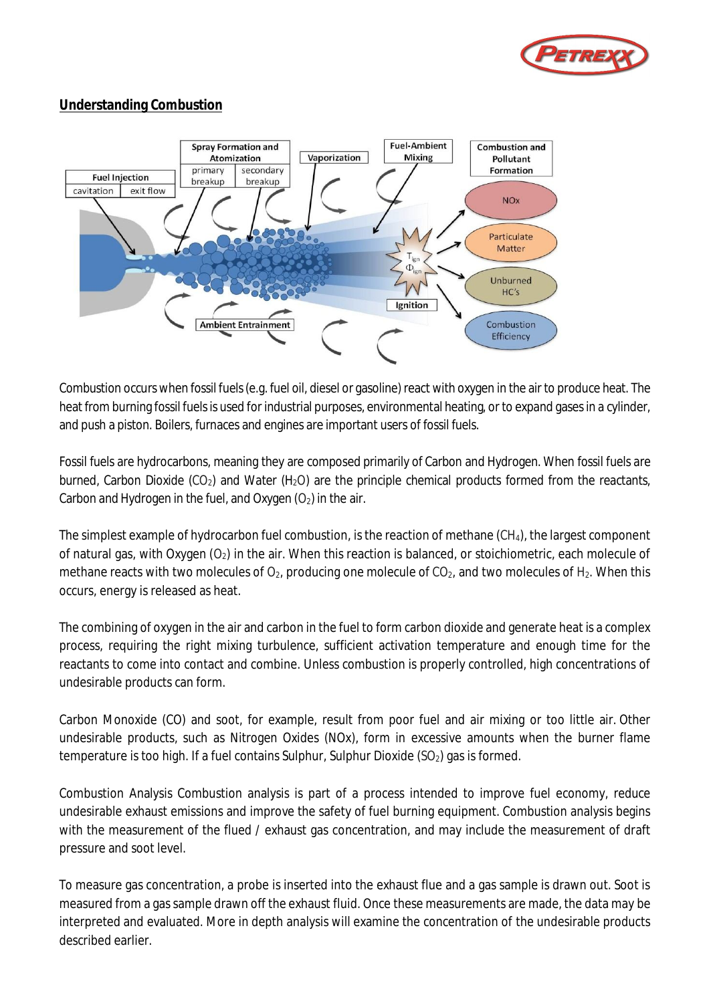

# **Understanding Combustion**



Combustion occurs when fossil fuels(e.g. fuel oil, diesel or gasoline) react with oxygen in the air to produce heat. The heat from burning fossil fuels is used for industrial purposes, environmental heating, or to expand gases in a cylinder, and push a piston. Boilers, furnaces and engines are important users of fossil fuels.

Fossil fuels are hydrocarbons, meaning they are composed primarily of Carbon and Hydrogen. When fossil fuels are burned, Carbon Dioxide (CO<sub>2</sub>) and Water (H<sub>2</sub>O) are the principle chemical products formed from the reactants, Carbon and Hydrogen in the fuel, and Oxygen  $(O_2)$  in the air.

The simplest example of hydrocarbon fuel combustion, is the reaction of methane (CH4), the largest component of natural gas, with Oxygen  $(O_2)$  in the air. When this reaction is balanced, or stoichiometric, each molecule of methane reacts with two molecules of  $O_{2}$ , producing one molecule of  $CO_{2}$ , and two molecules of H<sub>2</sub>. When this occurs, energy is released as heat.

The combining of oxygen in the air and carbon in the fuel to form carbon dioxide and generate heat is a complex process, requiring the right mixing turbulence, sufficient activation temperature and enough time for the reactants to come into contact and combine. Unless combustion is properly controlled, high concentrations of undesirable products can form.

Carbon Monoxide (CO) and soot, for example, result from poor fuel and air mixing or too little air. Other undesirable products, such as Nitrogen Oxides (NOx), form in excessive amounts when the burner flame temperature is too high. If a fuel contains Sulphur, Sulphur Dioxide  $(SO<sub>2</sub>)$  gas is formed.

Combustion Analysis Combustion analysis is part of a process intended to improve fuel economy, reduce undesirable exhaust emissions and improve the safety of fuel burning equipment. Combustion analysis begins with the measurement of the flued / exhaust gas concentration, and may include the measurement of draft pressure and soot level.

To measure gas concentration, a probe is inserted into the exhaust flue and a gas sample is drawn out. Soot is measured from a gas sample drawn off the exhaust fluid. Once these measurements are made, the data may be interpreted and evaluated. More in depth analysis will examine the concentration of the undesirable products described earlier.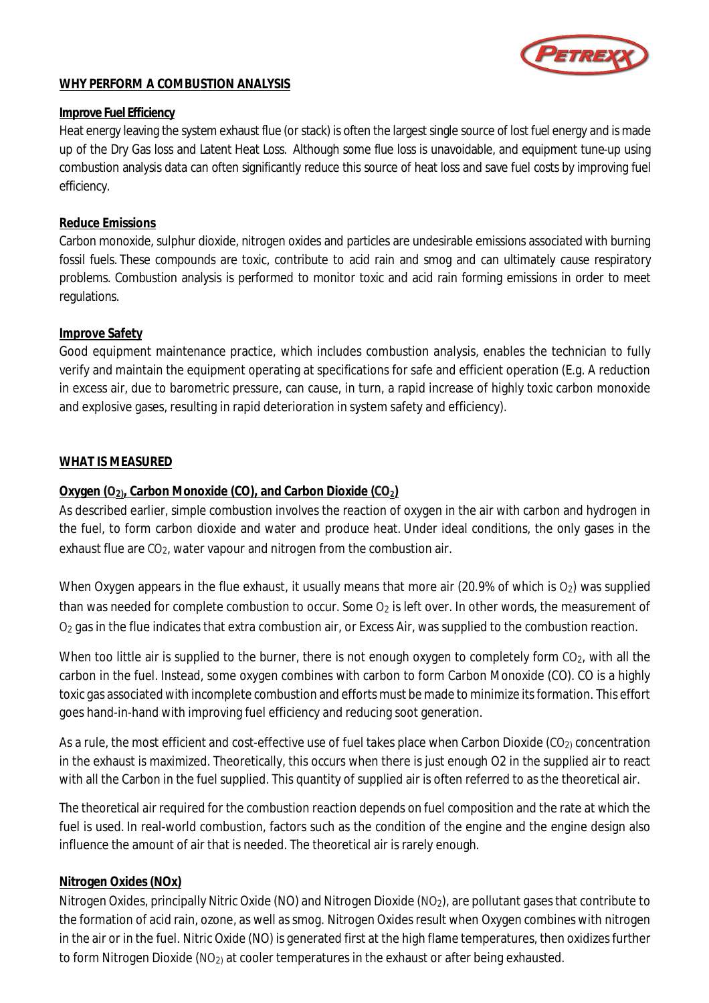

### **WHY PERFORM A COMBUSTION ANALYSIS**

#### **Improve Fuel Efficiency**

Heat energy leaving the system exhaust flue (or stack) is often the largest single source of lost fuel energy and is made up of the Dry Gas loss and Latent Heat Loss. Although some flue loss is unavoidable, and equipment tune-up using combustion analysis data can often significantly reduce this source of heat loss and save fuel costs by improving fuel efficiency.

#### **Reduce Emissions**

Carbon monoxide, sulphur dioxide, nitrogen oxides and particles are undesirable emissions associated with burning fossil fuels. These compounds are toxic, contribute to acid rain and smog and can ultimately cause respiratory problems. Combustion analysis is performed to monitor toxic and acid rain forming emissions in order to meet regulations.

#### **Improve Safety**

Good equipment maintenance practice, which includes combustion analysis, enables the technician to fully verify and maintain the equipment operating at specifications for safe and efficient operation (E.g. A reduction in excess air, due to barometric pressure, can cause, in turn, a rapid increase of highly toxic carbon monoxide and explosive gases, resulting in rapid deterioration in system safety and efficiency).

#### **WHAT IS MEASURED**

#### **Oxygen (O2), Carbon Monoxide (CO), and Carbon Dioxide (CO2)**

As described earlier, simple combustion involves the reaction of oxygen in the air with carbon and hydrogen in the fuel, to form carbon dioxide and water and produce heat. Under ideal conditions, the only gases in the exhaust flue are  $CO<sub>2</sub>$ , water vapour and nitrogen from the combustion air.

When Oxygen appears in the flue exhaust, it usually means that more air (20.9% of which is  $O<sub>2</sub>$ ) was supplied than was needed for complete combustion to occur. Some  $O<sub>2</sub>$  is left over. In other words, the measurement of O<sub>2</sub> gas in the flue indicates that extra combustion air, or Excess Air, was supplied to the combustion reaction.

When too little air is supplied to the burner, there is not enough oxygen to completely form CO<sub>2</sub>, with all the carbon in the fuel. Instead, some oxygen combines with carbon to form Carbon Monoxide (CO). CO is a highly toxic gas associated with incomplete combustion and efforts must be made to minimize its formation. This effort goes hand-in-hand with improving fuel efficiency and reducing soot generation.

As a rule, the most efficient and cost-effective use of fuel takes place when Carbon Dioxide ( $CO<sub>2</sub>$ ) concentration in the exhaust is maximized. Theoretically, this occurs when there is just enough O2 in the supplied air to react with all the Carbon in the fuel supplied. This quantity of supplied air is often referred to as the theoretical air.

The theoretical air required for the combustion reaction depends on fuel composition and the rate at which the fuel is used. In real-world combustion, factors such as the condition of the engine and the engine design also influence the amount of air that is needed. The theoretical air is rarely enough.

#### **Nitrogen Oxides (NOx)**

Nitrogen Oxides, principally Nitric Oxide (NO) and Nitrogen Dioxide (NO<sub>2</sub>), are pollutant gases that contribute to the formation of acid rain, ozone, as well as smog. Nitrogen Oxides result when Oxygen combines with nitrogen in the air or in the fuel. Nitric Oxide (NO) is generated first at the high flame temperatures, then oxidizes further to form Nitrogen Dioxide ( $NO<sub>2</sub>$ ) at cooler temperatures in the exhaust or after being exhausted.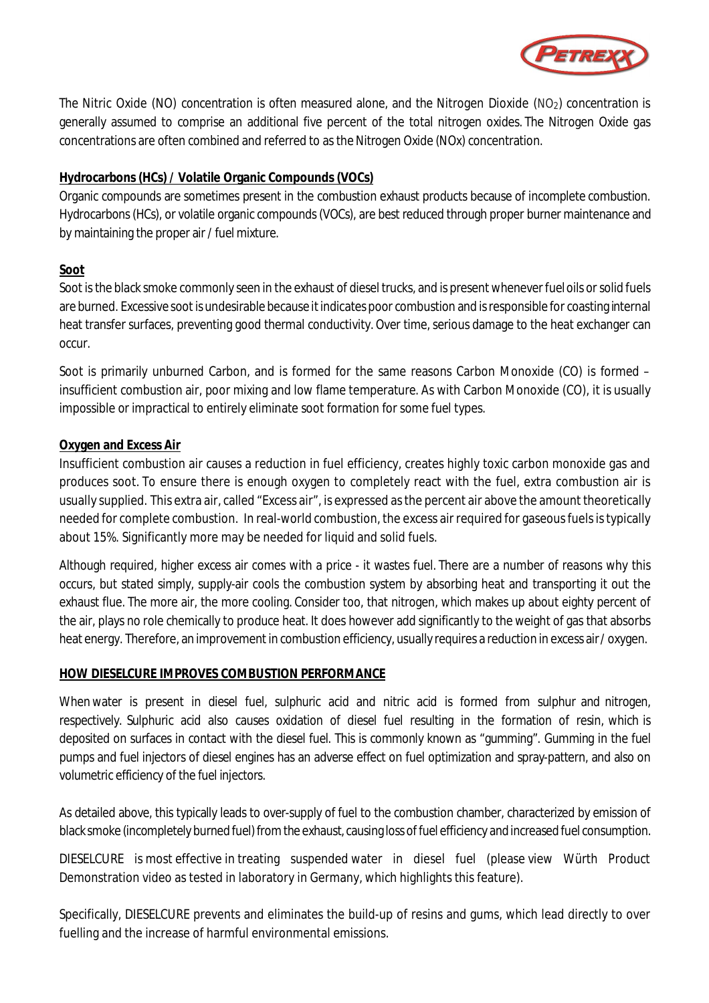

The Nitric Oxide (NO) concentration is often measured alone, and the Nitrogen Dioxide (NO<sub>2</sub>) concentration is generally assumed to comprise an additional five percent of the total nitrogen oxides. The Nitrogen Oxide gas concentrations are often combined and referred to as the Nitrogen Oxide (NOx) concentration.

### **Hydrocarbons (HCs) / Volatile Organic Compounds (VOCs)**

Organic compounds are sometimes present in the combustion exhaust products because of incomplete combustion. Hydrocarbons (HCs), or volatile organic compounds (VOCs), are best reduced through proper burner maintenance and by maintaining the proper air / fuel mixture.

## **Soot**

Soot is the black smoke commonly seen in the exhaust of diesel trucks, and is present whenever fuel oils orsolid fuels are burned. Excessive soot is undesirable because it indicates poor combustion and is responsible for coasting internal heat transfer surfaces, preventing good thermal conductivity.Over time, serious damage to the heat exchanger can occur.

Soot is primarily unburned Carbon, and is formed for the same reasons Carbon Monoxide (CO) is formed – insufficient combustion air, poor mixing and low flame temperature. As with Carbon Monoxide (CO), it is usually impossible or impractical to entirely eliminate soot formation for some fuel types.

## **Oxygen and Excess Air**

Insufficient combustion air causes a reduction in fuel efficiency, creates highly toxic carbon monoxide gas and produces soot. To ensure there is enough oxygen to completely react with the fuel, extra combustion air is usually supplied. This extra air, called "Excess air", is expressed as the percent air above the amount theoretically needed for complete combustion. In real-world combustion, the excess air required for gaseous fuels is typically about 15%. Significantly more may be needed for liquid and solid fuels.

Although required, higher excess air comes with a price - it wastes fuel. There are a number of reasons why this occurs, but stated simply, supply-air cools the combustion system by absorbing heat and transporting it out the exhaust flue. The more air, the more cooling. Consider too, that nitrogen, which makes up about eighty percent of the air, plays no role chemically to produce heat. It does however add significantly to the weight of gas that absorbs heat energy. Therefore, an improvement in combustion efficiency, usually requires a reduction in excess air/ oxygen.

### **HOW DIESELCURE IMPROVES COMBUSTION PERFORMANCE**

When water is present in diesel fuel, sulphuric acid and nitric acid is formed from sulphur and nitrogen, respectively. Sulphuric acid also causes oxidation of diesel fuel resulting in the formation of resin, which is deposited on surfaces in contact with the diesel fuel. This is commonly known as "gumming". Gumming in the fuel pumps and fuel injectors of diesel engines has an adverse effect on fuel optimization and spray-pattern, and also on volumetric efficiency of the fuel injectors.

As detailed above, this typically leads to over-supply of fuel to the combustion chamber, characterized by emission of black smoke (incompletely burned fuel) from the exhaust, causing loss of fuel efficiency and increased fuel consumption.

DIESELCURE is most effective in treating suspended water in diesel fuel (please view Würth Product Demonstration video as tested in laboratory in Germany, which highlights this feature).

Specifically, DIESELCURE prevents and eliminates the build-up of resins and gums, which lead directly to over fuelling and the increase of harmful environmental emissions.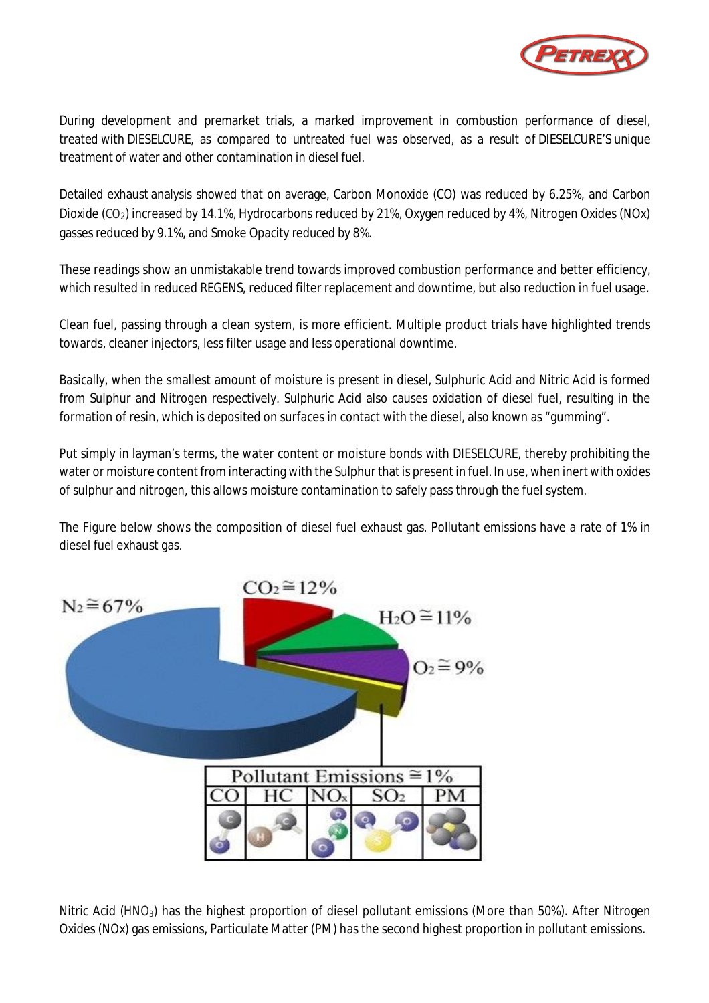

During development and premarket trials, a marked improvement in combustion performance of diesel, treated with DIESELCURE, as compared to untreated fuel was observed, as a result of DIESELCURE'S unique treatment of water and other contamination in diesel fuel.

Detailed exhaust analysis showed that on average, Carbon Monoxide (CO) was reduced by 6.25%, and Carbon Dioxide (CO<sub>2</sub>) increased by 14.1%, Hydrocarbons reduced by 21%, Oxygen reduced by 4%, Nitrogen Oxides (NOx) gasses reduced by 9.1%, and Smoke Opacity reduced by 8%.

These readings show an unmistakable trend towards improved combustion performance and better efficiency, which resulted in reduced REGENS, reduced filter replacement and downtime, but also reduction in fuel usage.

Clean fuel, passing through a clean system, is more efficient. Multiple product trials have highlighted trends towards, cleaner injectors, less filter usage and less operational downtime.

Basically, when the smallest amount of moisture is present in diesel, Sulphuric Acid and Nitric Acid is formed from Sulphur and Nitrogen respectively. Sulphuric Acid also causes oxidation of diesel fuel, resulting in the formation of resin, which is deposited on surfaces in contact with the diesel, also known as "gumming".

Put simply in layman's terms, the water content or moisture bonds with DIESELCURE, thereby prohibiting the water or moisture content from interacting with the Sulphur that is present in fuel. In use, when inert with oxides of sulphur and nitrogen, this allows moisture contamination to safely pass through the fuel system.

The Figure below shows the composition of diesel fuel exhaust gas. Pollutant emissions have a rate of 1% in diesel fuel exhaust gas.



Nitric Acid (HNO3) has the highest proportion of diesel pollutant emissions (More than 50%). After Nitrogen Oxides (NOx) gas emissions, Particulate Matter (PM) has the second highest proportion in pollutant emissions.